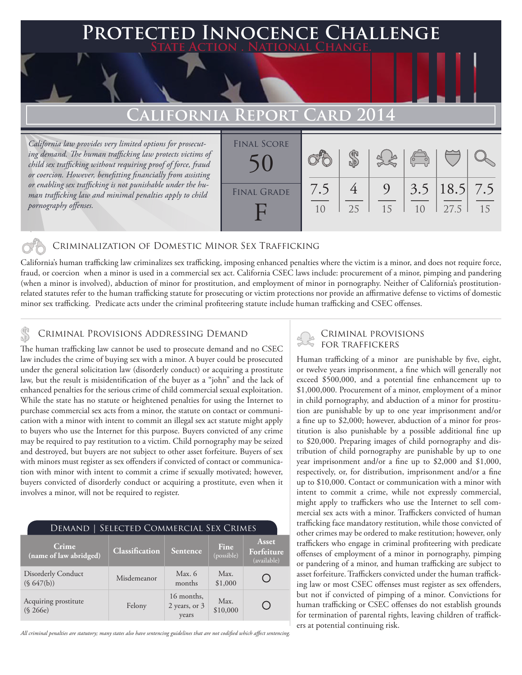# **FED INNOCENCE CHALLENGE State Action . National Change. California Report Card 2014** Final Score

*California law provides very limited options for prosecuting demand. The human trafficking law protects victims of child sex trafficking without requiring proof of force, fraud or coercion. However, benefitting financially from assisting or enabling sex trafficking is not punishable under the human trafficking law and minimal penalties apply to child pornography offenses.*

| <b>FINAL SCORE</b> |           |    |         | $\sqrt{2}$ |                           |    |
|--------------------|-----------|----|---------|------------|---------------------------|----|
| <b>FINAL GRADE</b> | 7.5<br>10 | 25 | 9<br>15 | 10         | $3.5$   18.5  7.5<br>27.5 | 15 |

## Criminalization of Domestic Minor Sex Trafficking

California's human trafficking law criminalizes sex trafficking, imposing enhanced penalties where the victim is a minor, and does not require force, fraud, or coercion when a minor is used in a commercial sex act. California CSEC laws include: procurement of a minor, pimping and pandering (when a minor is involved), abduction of minor for prostitution, and employment of minor in pornography. Neither of California's prostitutionrelated statutes refer to the human trafficking statute for prosecuting or victim protections nor provide an affirmative defense to victims of domestic minor sex trafficking. Predicate acts under the criminal profiteering statute include human trafficking and CSEC offenses.

## CRIMINAL PROVISIONS ADDRESSING DEMAND<br>The human trafficking law cannot be used to present a demand and no CSEC FOR TRAFFICKERS

The human trafficking law cannot be used to prosecute demand and no CSEC law includes the crime of buying sex with a minor. A buyer could be prosecuted under the general solicitation law (disorderly conduct) or acquiring a prostitute law, but the result is misidentification of the buyer as a "john" and the lack of enhanced penalties for the serious crime of child commercial sexual exploitation. While the state has no statute or heightened penalties for using the Internet to purchase commercial sex acts from a minor, the statute on contact or communication with a minor with intent to commit an illegal sex act statute might apply to buyers who use the Internet for this purpose. Buyers convicted of any crime may be required to pay restitution to a victim. Child pornography may be seized and destroyed, but buyers are not subject to other asset forfeiture. Buyers of sex with minors must register as sex offenders if convicted of contact or communication with minor with intent to commit a crime if sexually motivated; however, buyers convicted of disorderly conduct or acquiring a prostitute, even when it involves a minor, will not be required to register.

| DEMAND   SELECTED COMMERCIAL SEX CRIMES |                |                                      |                    |                                    |  |  |  |
|-----------------------------------------|----------------|--------------------------------------|--------------------|------------------------------------|--|--|--|
| Crime<br>(name of law abridged)         | Classification | Sentence                             | Fine<br>(possible) | Asset<br>Forfeiture<br>(available) |  |  |  |
| <b>Disorderly Conduct</b><br>(S 647(b)) | Misdemeanor    | Max. $6$<br>months                   | Max.<br>\$1,000    |                                    |  |  |  |
| Acquiring prostitute<br>(S 266e)        | Felony         | 16 months,<br>2 years, or 3<br>years | Max.<br>\$10,000   |                                    |  |  |  |

*All criminal penalties are statutory; many states also have sentencing guidelines that are not codified which affect sentencing.* 

Human trafficking of a minor are punishable by five, eight, or twelve years imprisonment, a fine which will generally not exceed \$500,000, and a potential fine enhancement up to \$1,000,000. Procurement of a minor, employment of a minor in child pornography, and abduction of a minor for prostitution are punishable by up to one year imprisonment and/or a fine up to \$2,000; however, abduction of a minor for prostitution is also punishable by a possible additional fine up to \$20,000. Preparing images of child pornography and distribution of child pornography are punishable by up to one year imprisonment and/or a fine up to \$2,000 and \$1,000, respectively, or, for distribution, imprisonment and/or a fine up to \$10,000. Contact or communication with a minor with intent to commit a crime, while not expressly commercial, might apply to traffickers who use the Internet to sell commercial sex acts with a minor. Traffickers convicted of human trafficking face mandatory restitution, while those convicted of other crimes may be ordered to make restitution; however, only traffickers who engage in criminal profiteering with predicate offenses of employment of a minor in pornography, pimping or pandering of a minor, and human trafficking are subject to asset forfeiture. Traffickers convicted under the human trafficking law or most CSEC offenses must register as sex offenders, but not if convicted of pimping of a minor. Convictions for human trafficking or CSEC offenses do not establish grounds for termination of parental rights, leaving children of traffickers at potential continuing risk.